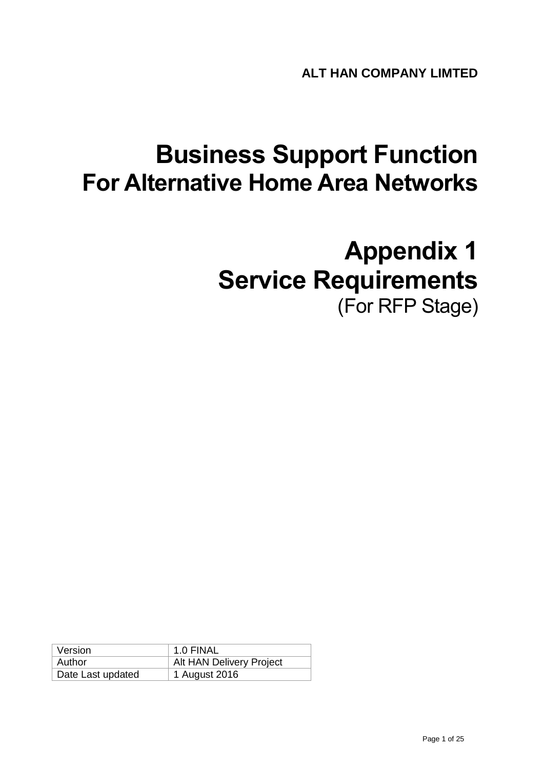# **Business Support Function For Alternative Home Area Networks**

# **Appendix 1 Service Requirements** (For RFP Stage)

| Version           | 1.0 FINAL                |
|-------------------|--------------------------|
| Author            | Alt HAN Delivery Project |
| Date Last updated | 1 August 2016            |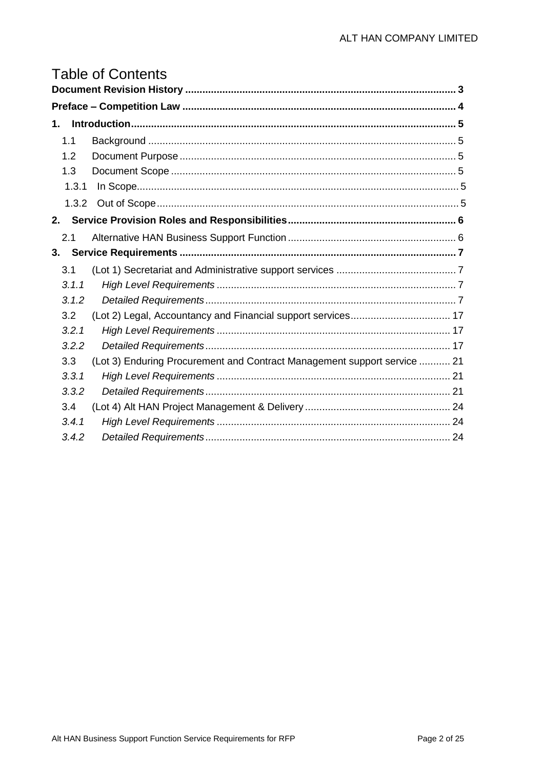# **Table of Contents**

| 1. |       |                                                                          |  |  |
|----|-------|--------------------------------------------------------------------------|--|--|
|    | 1.1   |                                                                          |  |  |
|    | 1.2   |                                                                          |  |  |
|    | 1.3   |                                                                          |  |  |
|    | 1.3.1 |                                                                          |  |  |
|    | 1.3.2 |                                                                          |  |  |
| 2. |       |                                                                          |  |  |
|    | 2.1   |                                                                          |  |  |
| 3. |       |                                                                          |  |  |
|    | 3.1   |                                                                          |  |  |
|    | 3.1.1 |                                                                          |  |  |
|    | 3.1.2 |                                                                          |  |  |
|    | 3.2   |                                                                          |  |  |
|    | 3.2.1 |                                                                          |  |  |
|    | 3.2.2 |                                                                          |  |  |
|    | 3.3   | (Lot 3) Enduring Procurement and Contract Management support service  21 |  |  |
|    | 3.3.1 |                                                                          |  |  |
|    | 3.3.2 |                                                                          |  |  |
|    | 3.4   |                                                                          |  |  |
|    | 3.4.1 |                                                                          |  |  |
|    | 3.4.2 |                                                                          |  |  |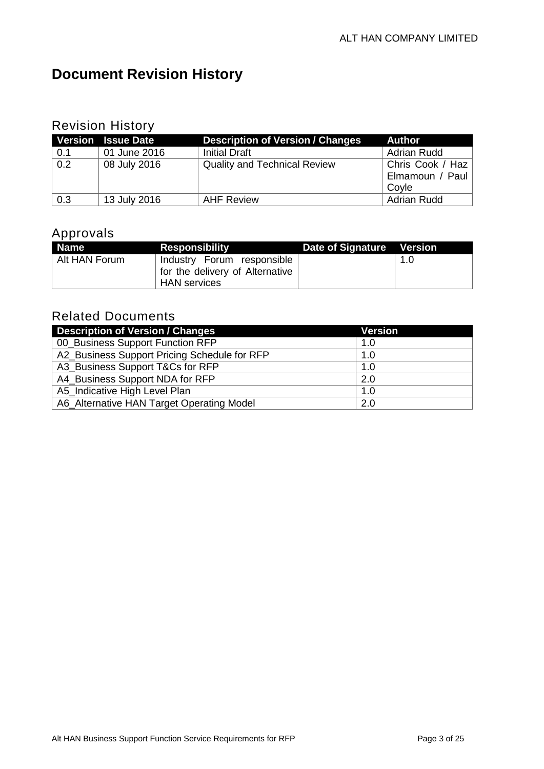# <span id="page-2-0"></span>**Document Revision History**

#### Revision History

|     | Version Issue Date | <b>Description of Version / Changes</b> | <b>Author</b>      |
|-----|--------------------|-----------------------------------------|--------------------|
| 0.1 | 01 June 2016       | <b>Initial Draft</b>                    | <b>Adrian Rudd</b> |
| 0.2 | 08 July 2016       | <b>Quality and Technical Review</b>     | Chris Cook / Haz   |
|     |                    |                                         | Elmamoun / Paul    |
|     |                    |                                         | Covle              |
| 0.3 | 13 July 2016       | <b>AHF Review</b>                       | <b>Adrian Rudd</b> |

### Approvals

| Name <sup>1</sup> | <b>Responsibility</b>                                         | Date of Signature Version |     |
|-------------------|---------------------------------------------------------------|---------------------------|-----|
| Alt HAN Forum     | Industry Forum responsible<br>for the delivery of Alternative |                           | 1.0 |
|                   | <b>HAN</b> services                                           |                           |     |

## Related Documents

| <b>Description of Version / Changes</b>      | <b>Version</b> |
|----------------------------------------------|----------------|
| 00_Business Support Function RFP             | 1.0            |
| A2_Business Support Pricing Schedule for RFP | 1.0            |
| A3_Business Support T&Cs for RFP             | 1.0            |
| A4_Business Support NDA for RFP              | 2.0            |
| A5_Indicative High Level Plan                | 1.0            |
| A6_Alternative HAN Target Operating Model    | 2.0            |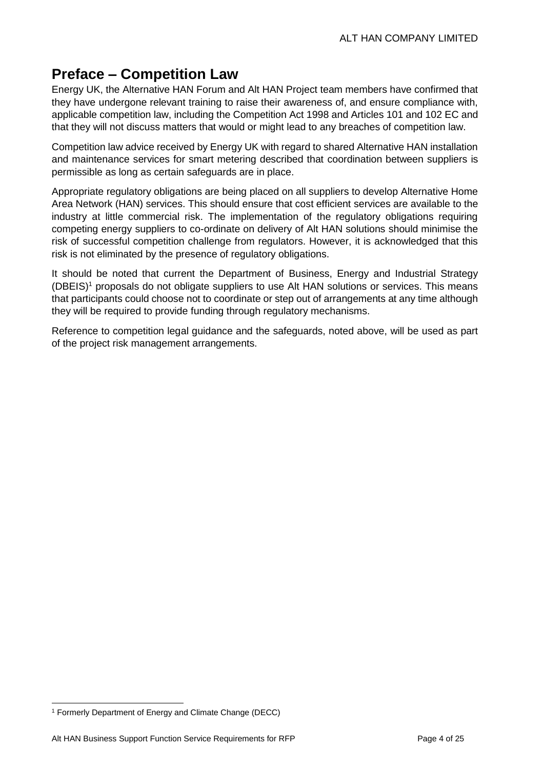## <span id="page-3-0"></span>**Preface – Competition Law**

Energy UK, the Alternative HAN Forum and Alt HAN Project team members have confirmed that they have undergone relevant training to raise their awareness of, and ensure compliance with, applicable competition law, including the Competition Act 1998 and Articles 101 and 102 EC and that they will not discuss matters that would or might lead to any breaches of competition law.

Competition law advice received by Energy UK with regard to shared Alternative HAN installation and maintenance services for smart metering described that coordination between suppliers is permissible as long as certain safeguards are in place.

Appropriate regulatory obligations are being placed on all suppliers to develop Alternative Home Area Network (HAN) services. This should ensure that cost efficient services are available to the industry at little commercial risk. The implementation of the regulatory obligations requiring competing energy suppliers to co-ordinate on delivery of Alt HAN solutions should minimise the risk of successful competition challenge from regulators. However, it is acknowledged that this risk is not eliminated by the presence of regulatory obligations.

It should be noted that current the Department of Business, Energy and Industrial Strategy  $(DBEIS)<sup>1</sup>$  proposals do not obligate suppliers to use Alt HAN solutions or services. This means that participants could choose not to coordinate or step out of arrangements at any time although they will be required to provide funding through regulatory mechanisms.

Reference to competition legal guidance and the safeguards, noted above, will be used as part of the project risk management arrangements.

<sup>-</sup><sup>1</sup> Formerly Department of Energy and Climate Change (DECC)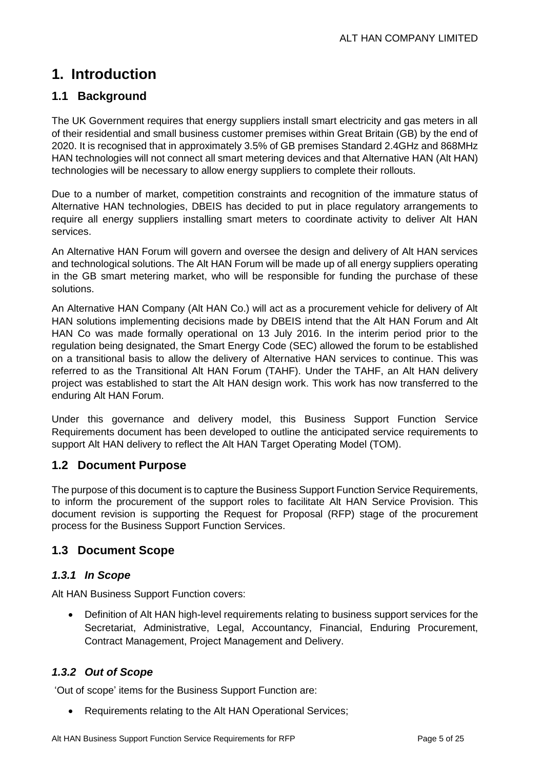## <span id="page-4-0"></span>**1. Introduction**

#### <span id="page-4-1"></span>**1.1 Background**

The UK Government requires that energy suppliers install smart electricity and gas meters in all of their residential and small business customer premises within Great Britain (GB) by the end of 2020. It is recognised that in approximately 3.5% of GB premises Standard 2.4GHz and 868MHz HAN technologies will not connect all smart metering devices and that Alternative HAN (Alt HAN) technologies will be necessary to allow energy suppliers to complete their rollouts.

Due to a number of market, competition constraints and recognition of the immature status of Alternative HAN technologies, DBEIS has decided to put in place regulatory arrangements to require all energy suppliers installing smart meters to coordinate activity to deliver Alt HAN services.

An Alternative HAN Forum will govern and oversee the design and delivery of Alt HAN services and technological solutions. The Alt HAN Forum will be made up of all energy suppliers operating in the GB smart metering market, who will be responsible for funding the purchase of these solutions.

An Alternative HAN Company (Alt HAN Co.) will act as a procurement vehicle for delivery of Alt HAN solutions implementing decisions made by DBEIS intend that the Alt HAN Forum and Alt HAN Co was made formally operational on 13 July 2016. In the interim period prior to the regulation being designated, the Smart Energy Code (SEC) allowed the forum to be established on a transitional basis to allow the delivery of Alternative HAN services to continue. This was referred to as the Transitional Alt HAN Forum (TAHF). Under the TAHF, an Alt HAN delivery project was established to start the Alt HAN design work. This work has now transferred to the enduring Alt HAN Forum.

Under this governance and delivery model, this Business Support Function Service Requirements document has been developed to outline the anticipated service requirements to support Alt HAN delivery to reflect the Alt HAN Target Operating Model (TOM).

#### <span id="page-4-2"></span>**1.2 Document Purpose**

The purpose of this document is to capture the Business Support Function Service Requirements, to inform the procurement of the support roles to facilitate Alt HAN Service Provision. This document revision is supporting the Request for Proposal (RFP) stage of the procurement process for the Business Support Function Services.

#### <span id="page-4-3"></span>**1.3 Document Scope**

#### <span id="page-4-4"></span>*1.3.1 In Scope*

Alt HAN Business Support Function covers:

 Definition of Alt HAN high-level requirements relating to business support services for the Secretariat, Administrative, Legal, Accountancy, Financial, Enduring Procurement, Contract Management, Project Management and Delivery.

#### <span id="page-4-5"></span>*1.3.2 Out of Scope*

'Out of scope' items for the Business Support Function are:

Requirements relating to the Alt HAN Operational Services;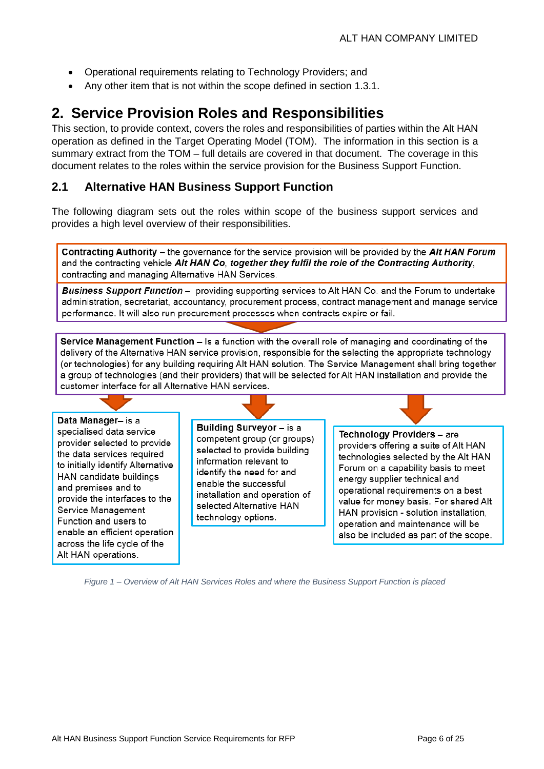- Operational requirements relating to Technology Providers; and
- Any other item that is not within the scope defined in section [1.3.1.](#page-4-4)

## <span id="page-5-0"></span>**2. Service Provision Roles and Responsibilities**

This section, to provide context, covers the roles and responsibilities of parties within the Alt HAN operation as defined in the Target Operating Model (TOM). The information in this section is a summary extract from the TOM – full details are covered in that document. The coverage in this document relates to the roles within the service provision for the Business Support Function.

#### <span id="page-5-1"></span>**2.1 Alternative HAN Business Support Function**

The following diagram sets out the roles within scope of the business support services and provides a high level overview of their responsibilities.

Contracting Authority – the governance for the service provision will be provided by the Alt HAN Forum and the contracting vehicle Alt HAN Co, together they fulfil the role of the Contracting Authority, contracting and managing Alternative HAN Services.

**Business Support Function** - providing supporting services to Alt HAN Co. and the Forum to undertake administration, secretariat, accountancy, procurement process, contract management and manage service performance. It will also run procurement processes when contracts expire or fail.

Service Management Function – Is a function with the overall role of managing and coordinating of the delivery of the Alternative HAN service provision, responsible for the selecting the appropriate technology (or technologies) for any building requiring Alt HAN solution. The Service Management shall bring together a group of technologies (and their providers) that will be selected for Alt HAN installation and provide the customer interface for all Alternative HAN services.

Data Manager- is a specialised data service provider selected to provide the data services required to initially identify Alternative HAN candidate buildings and premises and to provide the interfaces to the Service Management Function and users to enable an efficient operation across the life cycle of the Alt HAN operations.

Building Surveyor - is a competent group (or groups) selected to provide building information relevant to identify the need for and enable the successful installation and operation of selected Alternative HAN technology options.

Technology Providers - are providers offering a suite of Alt HAN technologies selected by the Alt HAN Forum on a capability basis to meet energy supplier technical and operational requirements on a best value for money basis. For shared Alt HAN provision - solution installation, operation and maintenance will be also be included as part of the scope.

*Figure 1 – Overview of Alt HAN Services Roles and where the Business Support Function is placed*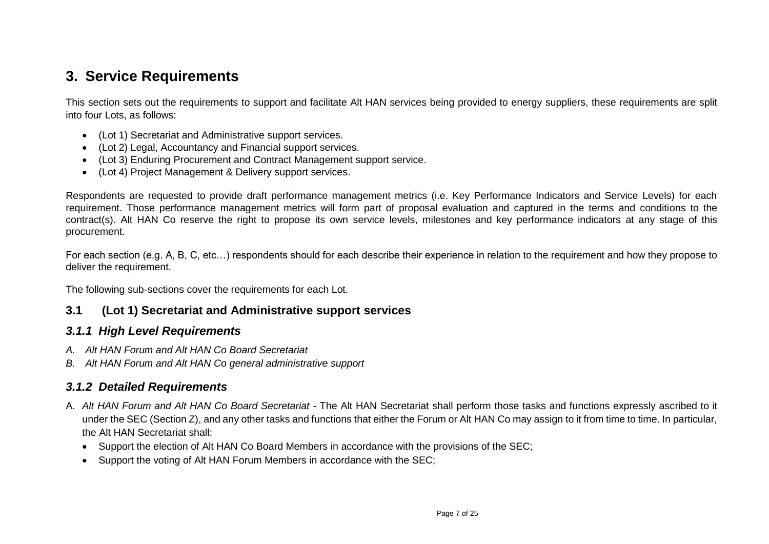## **3. Service Requirements**

This section sets out the requirements to support and facilitate Alt HAN services being provided to energy suppliers, these requirements are split into four Lots, as follows:

- (Lot 1) Secretariat and Administrative support services.
- (Lot 2) Legal, Accountancy and Financial support services.
- (Lot 3) Enduring Procurement and Contract Management support service.
- (Lot 4) Project Management & Delivery support services.

Respondents are requested to provide draft performance management metrics (i.e. Key Performance Indicators and Service Levels) for each requirement. Those performance management metrics will form part of proposal evaluation and captured in the terms and conditions to the contract(s). Alt HAN Co reserve the right to propose its own service levels, milestones and key performance indicators at any stage of this procurement.

For each section (e.g. A, B, C, etc…) respondents should for each describe their experience in relation to the requirement and how they propose to deliver the requirement.

<span id="page-6-0"></span>The following sub-sections cover the requirements for each Lot.

#### **3.1 (Lot 1) Secretariat and Administrative support services**

#### *3.1.1 High Level Requirements*

- *A. Alt HAN Forum and Alt HAN Co Board Secretariat*
- *B. Alt HAN Forum and Alt HAN Co general administrative support*

#### *3.1.2 Detailed Requirements*

- <span id="page-6-3"></span><span id="page-6-2"></span><span id="page-6-1"></span>A. *Alt HAN Forum and Alt HAN Co Board Secretariat* - The Alt HAN Secretariat shall perform those tasks and functions expressly ascribed to it under the SEC (Section Z), and any other tasks and functions that either the Forum or Alt HAN Co may assign to it from time to time. In particular, the Alt HAN Secretariat shall:
	- Support the election of Alt HAN Co Board Members in accordance with the provisions of the SEC;
	- Support the voting of Alt HAN Forum Members in accordance with the SEC: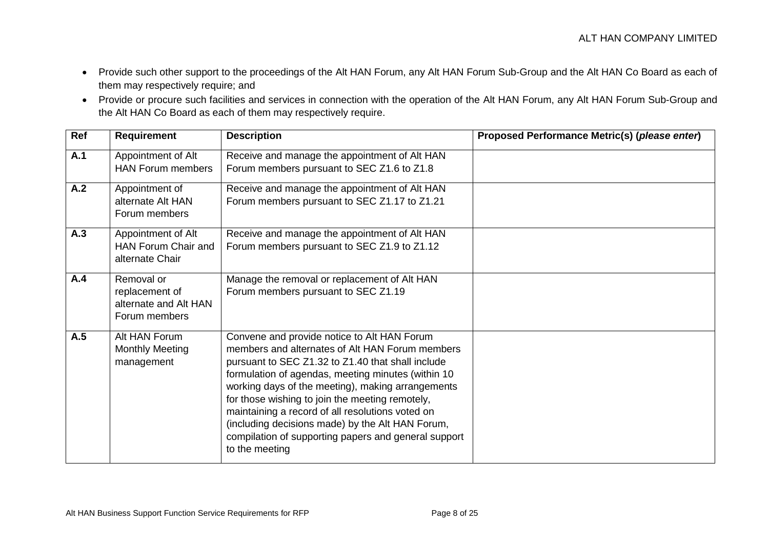- Provide such other support to the proceedings of the Alt HAN Forum, any Alt HAN Forum Sub-Group and the Alt HAN Co Board as each of them may respectively require; and
- Provide or procure such facilities and services in connection with the operation of the Alt HAN Forum, any Alt HAN Forum Sub-Group and the Alt HAN Co Board as each of them may respectively require.

| Ref | <b>Requirement</b>                                                     | <b>Description</b>                                                                                                                                                                                                                                                                                                                                                                                                                                                                                  | Proposed Performance Metric(s) (please enter) |
|-----|------------------------------------------------------------------------|-----------------------------------------------------------------------------------------------------------------------------------------------------------------------------------------------------------------------------------------------------------------------------------------------------------------------------------------------------------------------------------------------------------------------------------------------------------------------------------------------------|-----------------------------------------------|
| A.1 | Appointment of Alt<br><b>HAN Forum members</b>                         | Receive and manage the appointment of Alt HAN<br>Forum members pursuant to SEC Z1.6 to Z1.8                                                                                                                                                                                                                                                                                                                                                                                                         |                                               |
| A.2 | Appointment of<br>alternate Alt HAN<br>Forum members                   | Receive and manage the appointment of Alt HAN<br>Forum members pursuant to SEC Z1.17 to Z1.21                                                                                                                                                                                                                                                                                                                                                                                                       |                                               |
| A.3 | Appointment of Alt<br><b>HAN Forum Chair and</b><br>alternate Chair    | Receive and manage the appointment of Alt HAN<br>Forum members pursuant to SEC Z1.9 to Z1.12                                                                                                                                                                                                                                                                                                                                                                                                        |                                               |
| A.4 | Removal or<br>replacement of<br>alternate and Alt HAN<br>Forum members | Manage the removal or replacement of Alt HAN<br>Forum members pursuant to SEC Z1.19                                                                                                                                                                                                                                                                                                                                                                                                                 |                                               |
| A.5 | Alt HAN Forum<br><b>Monthly Meeting</b><br>management                  | Convene and provide notice to Alt HAN Forum<br>members and alternates of Alt HAN Forum members<br>pursuant to SEC Z1.32 to Z1.40 that shall include<br>formulation of agendas, meeting minutes (within 10<br>working days of the meeting), making arrangements<br>for those wishing to join the meeting remotely,<br>maintaining a record of all resolutions voted on<br>(including decisions made) by the Alt HAN Forum,<br>compilation of supporting papers and general support<br>to the meeting |                                               |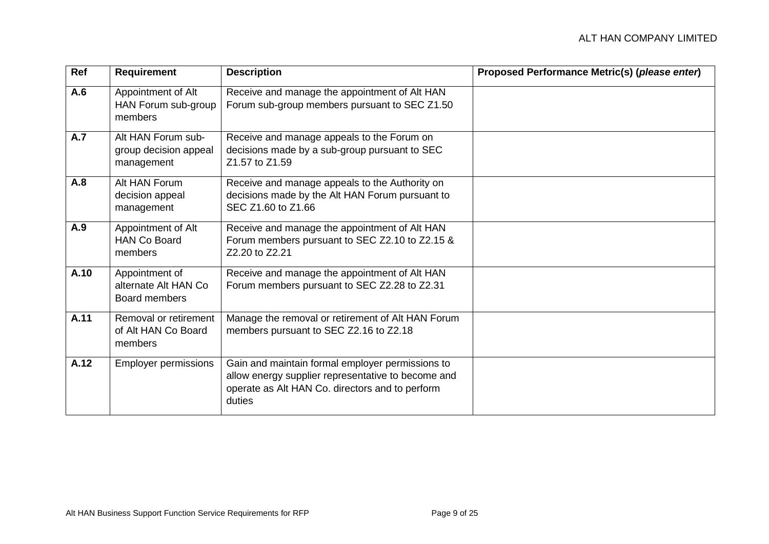| Ref  | <b>Requirement</b>                                        | <b>Description</b>                                                                                                                                                  | Proposed Performance Metric(s) (please enter) |
|------|-----------------------------------------------------------|---------------------------------------------------------------------------------------------------------------------------------------------------------------------|-----------------------------------------------|
| A.6  | Appointment of Alt<br>HAN Forum sub-group<br>members      | Receive and manage the appointment of Alt HAN<br>Forum sub-group members pursuant to SEC Z1.50                                                                      |                                               |
| A.7  | Alt HAN Forum sub-<br>group decision appeal<br>management | Receive and manage appeals to the Forum on<br>decisions made by a sub-group pursuant to SEC<br>Z1.57 to Z1.59                                                       |                                               |
| A.8  | Alt HAN Forum<br>decision appeal<br>management            | Receive and manage appeals to the Authority on<br>decisions made by the Alt HAN Forum pursuant to<br>SEC Z1.60 to Z1.66                                             |                                               |
| A.9  | Appointment of Alt<br><b>HAN Co Board</b><br>members      | Receive and manage the appointment of Alt HAN<br>Forum members pursuant to SEC Z2.10 to Z2.15 &<br>Z2.20 to Z2.21                                                   |                                               |
| A.10 | Appointment of<br>alternate Alt HAN Co<br>Board members   | Receive and manage the appointment of Alt HAN<br>Forum members pursuant to SEC Z2.28 to Z2.31                                                                       |                                               |
| A.11 | Removal or retirement<br>of Alt HAN Co Board<br>members   | Manage the removal or retirement of Alt HAN Forum<br>members pursuant to SEC Z2.16 to Z2.18                                                                         |                                               |
| A.12 | <b>Employer permissions</b>                               | Gain and maintain formal employer permissions to<br>allow energy supplier representative to become and<br>operate as Alt HAN Co. directors and to perform<br>duties |                                               |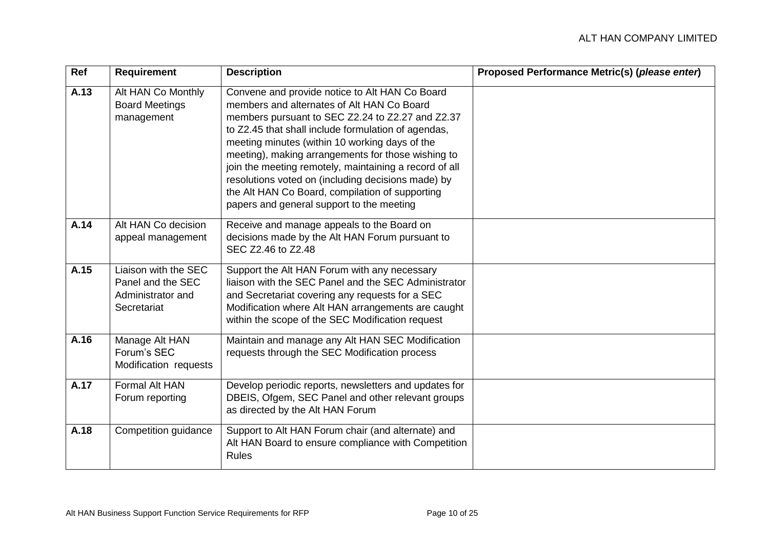| Ref  | <b>Requirement</b>                                                            | <b>Description</b>                                                                                                                                                                                                                                                                                                                                                                                                                                                                                                              | Proposed Performance Metric(s) (please enter) |
|------|-------------------------------------------------------------------------------|---------------------------------------------------------------------------------------------------------------------------------------------------------------------------------------------------------------------------------------------------------------------------------------------------------------------------------------------------------------------------------------------------------------------------------------------------------------------------------------------------------------------------------|-----------------------------------------------|
| A.13 | Alt HAN Co Monthly<br><b>Board Meetings</b><br>management                     | Convene and provide notice to Alt HAN Co Board<br>members and alternates of Alt HAN Co Board<br>members pursuant to SEC Z2.24 to Z2.27 and Z2.37<br>to Z2.45 that shall include formulation of agendas,<br>meeting minutes (within 10 working days of the<br>meeting), making arrangements for those wishing to<br>join the meeting remotely, maintaining a record of all<br>resolutions voted on (including decisions made) by<br>the Alt HAN Co Board, compilation of supporting<br>papers and general support to the meeting |                                               |
| A.14 | Alt HAN Co decision<br>appeal management                                      | Receive and manage appeals to the Board on<br>decisions made by the Alt HAN Forum pursuant to<br>SEC Z2.46 to Z2.48                                                                                                                                                                                                                                                                                                                                                                                                             |                                               |
| A.15 | Liaison with the SEC<br>Panel and the SEC<br>Administrator and<br>Secretariat | Support the Alt HAN Forum with any necessary<br>liaison with the SEC Panel and the SEC Administrator<br>and Secretariat covering any requests for a SEC<br>Modification where Alt HAN arrangements are caught<br>within the scope of the SEC Modification request                                                                                                                                                                                                                                                               |                                               |
| A.16 | Manage Alt HAN<br>Forum's SEC<br>Modification requests                        | Maintain and manage any Alt HAN SEC Modification<br>requests through the SEC Modification process                                                                                                                                                                                                                                                                                                                                                                                                                               |                                               |
| A.17 | <b>Formal Alt HAN</b><br>Forum reporting                                      | Develop periodic reports, newsletters and updates for<br>DBEIS, Ofgem, SEC Panel and other relevant groups<br>as directed by the Alt HAN Forum                                                                                                                                                                                                                                                                                                                                                                                  |                                               |
| A.18 | Competition guidance                                                          | Support to Alt HAN Forum chair (and alternate) and<br>Alt HAN Board to ensure compliance with Competition<br><b>Rules</b>                                                                                                                                                                                                                                                                                                                                                                                                       |                                               |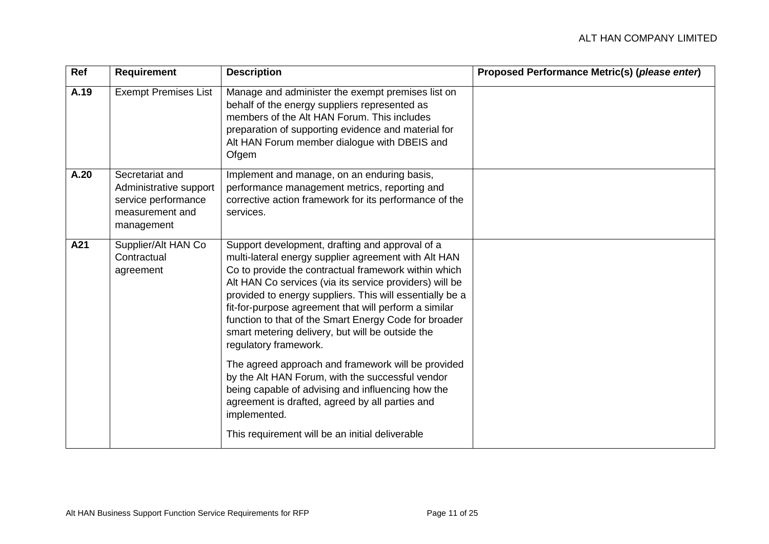| Ref  | <b>Requirement</b>                                                                                | <b>Description</b>                                                                                                                                                                                                                                                                                                                                                                                                                                                                    | Proposed Performance Metric(s) (please enter) |
|------|---------------------------------------------------------------------------------------------------|---------------------------------------------------------------------------------------------------------------------------------------------------------------------------------------------------------------------------------------------------------------------------------------------------------------------------------------------------------------------------------------------------------------------------------------------------------------------------------------|-----------------------------------------------|
| A.19 | <b>Exempt Premises List</b>                                                                       | Manage and administer the exempt premises list on<br>behalf of the energy suppliers represented as<br>members of the Alt HAN Forum. This includes<br>preparation of supporting evidence and material for<br>Alt HAN Forum member dialogue with DBEIS and<br>Ofgem                                                                                                                                                                                                                     |                                               |
| A.20 | Secretariat and<br>Administrative support<br>service performance<br>measurement and<br>management | Implement and manage, on an enduring basis,<br>performance management metrics, reporting and<br>corrective action framework for its performance of the<br>services.                                                                                                                                                                                                                                                                                                                   |                                               |
| A21  | Supplier/Alt HAN Co<br>Contractual<br>agreement                                                   | Support development, drafting and approval of a<br>multi-lateral energy supplier agreement with Alt HAN<br>Co to provide the contractual framework within which<br>Alt HAN Co services (via its service providers) will be<br>provided to energy suppliers. This will essentially be a<br>fit-for-purpose agreement that will perform a similar<br>function to that of the Smart Energy Code for broader<br>smart metering delivery, but will be outside the<br>regulatory framework. |                                               |
|      |                                                                                                   | The agreed approach and framework will be provided<br>by the Alt HAN Forum, with the successful vendor<br>being capable of advising and influencing how the<br>agreement is drafted, agreed by all parties and<br>implemented.<br>This requirement will be an initial deliverable                                                                                                                                                                                                     |                                               |
|      |                                                                                                   |                                                                                                                                                                                                                                                                                                                                                                                                                                                                                       |                                               |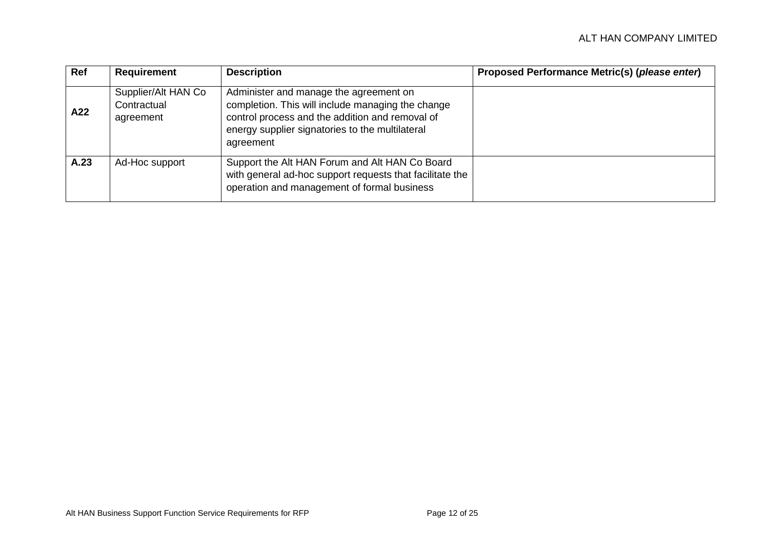| Ref  | <b>Requirement</b>                              | <b>Description</b>                                                                                                                                                                                             | Proposed Performance Metric(s) (please enter) |
|------|-------------------------------------------------|----------------------------------------------------------------------------------------------------------------------------------------------------------------------------------------------------------------|-----------------------------------------------|
| A22  | Supplier/Alt HAN Co<br>Contractual<br>agreement | Administer and manage the agreement on<br>completion. This will include managing the change<br>control process and the addition and removal of<br>energy supplier signatories to the multilateral<br>agreement |                                               |
| A.23 | Ad-Hoc support                                  | Support the Alt HAN Forum and Alt HAN Co Board<br>with general ad-hoc support requests that facilitate the<br>operation and management of formal business                                                      |                                               |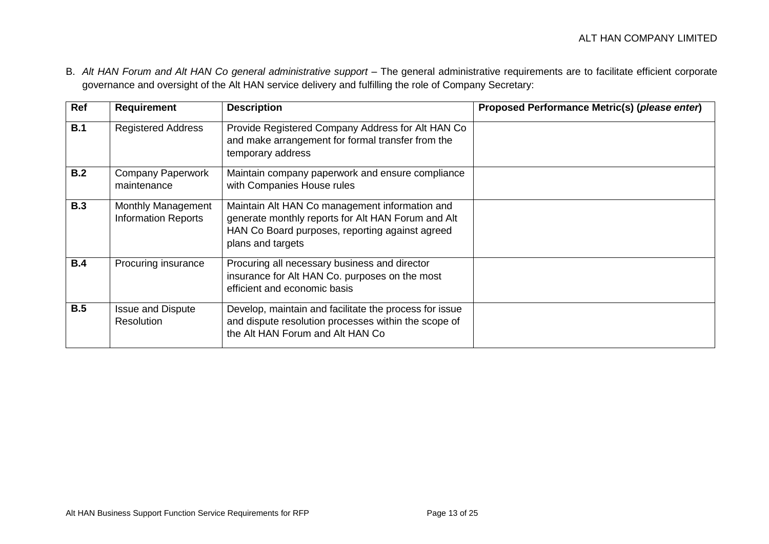B. *Alt HAN Forum and Alt HAN Co general administrative support* – The general administrative requirements are to facilitate efficient corporate governance and oversight of the Alt HAN service delivery and fulfilling the role of Company Secretary:

| Ref        | <b>Requirement</b>                               | <b>Description</b>                                                                                                                                                           | Proposed Performance Metric(s) (please enter) |
|------------|--------------------------------------------------|------------------------------------------------------------------------------------------------------------------------------------------------------------------------------|-----------------------------------------------|
| B.1        | <b>Registered Address</b>                        | Provide Registered Company Address for Alt HAN Co<br>and make arrangement for formal transfer from the<br>temporary address                                                  |                                               |
| B.2        | <b>Company Paperwork</b><br>maintenance          | Maintain company paperwork and ensure compliance<br>with Companies House rules                                                                                               |                                               |
| <b>B.3</b> | Monthly Management<br><b>Information Reports</b> | Maintain Alt HAN Co management information and<br>generate monthly reports for Alt HAN Forum and Alt<br>HAN Co Board purposes, reporting against agreed<br>plans and targets |                                               |
| B.4        | Procuring insurance                              | Procuring all necessary business and director<br>insurance for Alt HAN Co. purposes on the most<br>efficient and economic basis                                              |                                               |
| B.5        | <b>Issue and Dispute</b><br><b>Resolution</b>    | Develop, maintain and facilitate the process for issue<br>and dispute resolution processes within the scope of<br>the Alt HAN Forum and Alt HAN Co                           |                                               |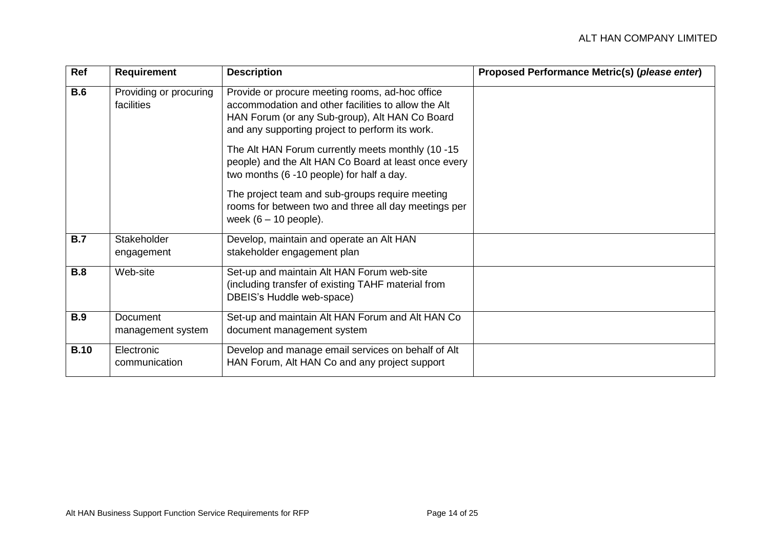| Ref         | <b>Requirement</b>                   | <b>Description</b>                                                                                                                                                                                          | Proposed Performance Metric(s) (please enter) |
|-------------|--------------------------------------|-------------------------------------------------------------------------------------------------------------------------------------------------------------------------------------------------------------|-----------------------------------------------|
| B.6         | Providing or procuring<br>facilities | Provide or procure meeting rooms, ad-hoc office<br>accommodation and other facilities to allow the Alt<br>HAN Forum (or any Sub-group), Alt HAN Co Board<br>and any supporting project to perform its work. |                                               |
|             |                                      | The Alt HAN Forum currently meets monthly (10 -15<br>people) and the Alt HAN Co Board at least once every<br>two months (6 -10 people) for half a day.                                                      |                                               |
|             |                                      | The project team and sub-groups require meeting<br>rooms for between two and three all day meetings per<br>week $(6 - 10$ people).                                                                          |                                               |
| <b>B.7</b>  | Stakeholder<br>engagement            | Develop, maintain and operate an Alt HAN<br>stakeholder engagement plan                                                                                                                                     |                                               |
| <b>B.8</b>  | Web-site                             | Set-up and maintain Alt HAN Forum web-site<br>(including transfer of existing TAHF material from<br>DBEIS's Huddle web-space)                                                                               |                                               |
| <b>B.9</b>  | Document<br>management system        | Set-up and maintain Alt HAN Forum and Alt HAN Co<br>document management system                                                                                                                              |                                               |
| <b>B.10</b> | Electronic<br>communication          | Develop and manage email services on behalf of Alt<br>HAN Forum, Alt HAN Co and any project support                                                                                                         |                                               |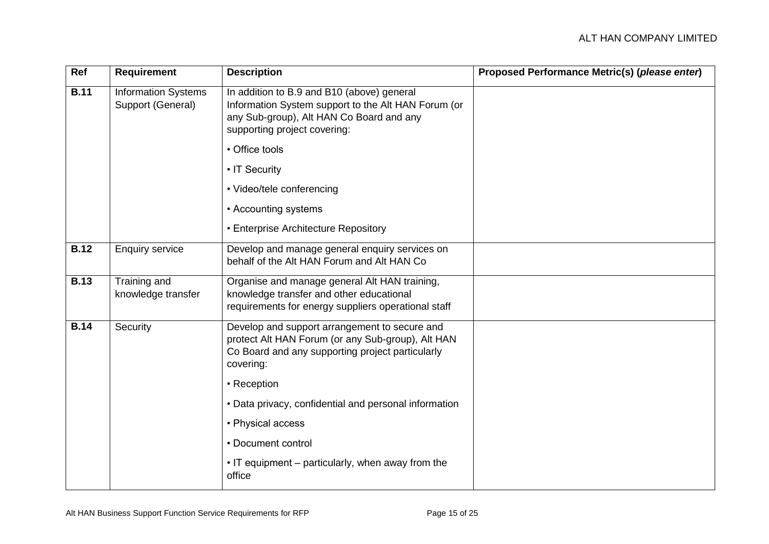| Ref         | <b>Requirement</b>                              | <b>Description</b>                                                                                                                                                            | Proposed Performance Metric(s) (please enter) |
|-------------|-------------------------------------------------|-------------------------------------------------------------------------------------------------------------------------------------------------------------------------------|-----------------------------------------------|
| <b>B.11</b> | <b>Information Systems</b><br>Support (General) | In addition to B.9 and B10 (above) general<br>Information System support to the Alt HAN Forum (or<br>any Sub-group), Alt HAN Co Board and any<br>supporting project covering: |                                               |
|             |                                                 | • Office tools                                                                                                                                                                |                                               |
|             |                                                 | • IT Security                                                                                                                                                                 |                                               |
|             |                                                 | • Video/tele conferencing                                                                                                                                                     |                                               |
|             |                                                 | • Accounting systems                                                                                                                                                          |                                               |
|             |                                                 | • Enterprise Architecture Repository                                                                                                                                          |                                               |
| <b>B.12</b> | <b>Enquiry service</b>                          | Develop and manage general enquiry services on<br>behalf of the Alt HAN Forum and Alt HAN Co                                                                                  |                                               |
| <b>B.13</b> | Training and<br>knowledge transfer              | Organise and manage general Alt HAN training,<br>knowledge transfer and other educational<br>requirements for energy suppliers operational staff                              |                                               |
| <b>B.14</b> | Security                                        | Develop and support arrangement to secure and<br>protect Alt HAN Forum (or any Sub-group), Alt HAN<br>Co Board and any supporting project particularly<br>covering:           |                                               |
|             |                                                 | • Reception                                                                                                                                                                   |                                               |
|             |                                                 | • Data privacy, confidential and personal information                                                                                                                         |                                               |
|             |                                                 | • Physical access                                                                                                                                                             |                                               |
|             |                                                 | • Document control                                                                                                                                                            |                                               |
|             |                                                 | • IT equipment – particularly, when away from the<br>office                                                                                                                   |                                               |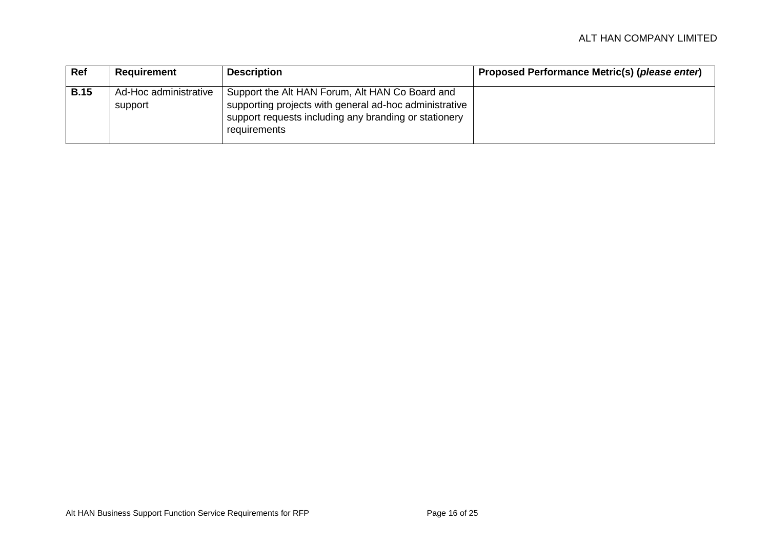| Ref         | Requirement                      | <b>Description</b>                                                                                                                                                                 | Proposed Performance Metric(s) (please enter) |
|-------------|----------------------------------|------------------------------------------------------------------------------------------------------------------------------------------------------------------------------------|-----------------------------------------------|
| <b>B.15</b> | Ad-Hoc administrative<br>support | Support the Alt HAN Forum, Alt HAN Co Board and<br>supporting projects with general ad-hoc administrative<br>support requests including any branding or stationery<br>requirements |                                               |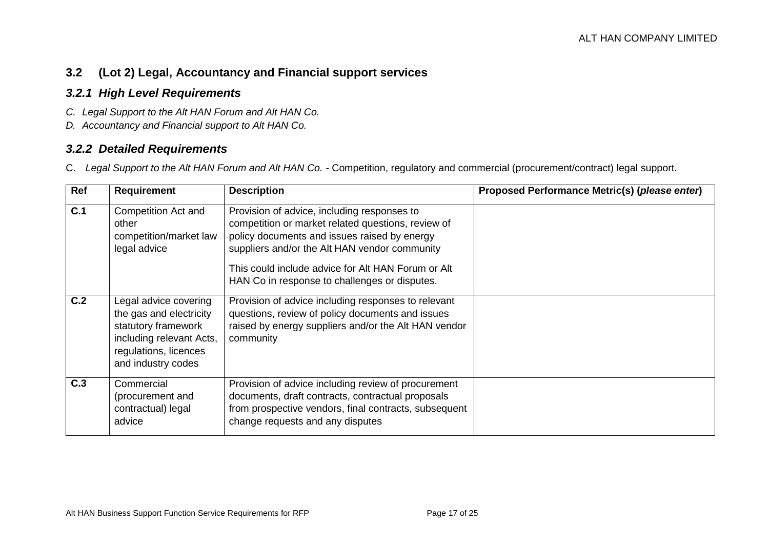### **3.2 (Lot 2) Legal, Accountancy and Financial support services**

#### *3.2.1 High Level Requirements*

- *C. Legal Support to the Alt HAN Forum and Alt HAN Co.*
- *D. Accountancy and Financial support to Alt HAN Co.*

#### *3.2.2 Detailed Requirements*

C. *Legal Support to the Alt HAN Forum and Alt HAN Co. -* Competition, regulatory and commercial (procurement/contract) legal support.

<span id="page-16-2"></span><span id="page-16-1"></span><span id="page-16-0"></span>

| Ref | <b>Requirement</b>                                                                                                                                 | <b>Description</b>                                                                                                                                                                                                                                                                                        | Proposed Performance Metric(s) (please enter) |
|-----|----------------------------------------------------------------------------------------------------------------------------------------------------|-----------------------------------------------------------------------------------------------------------------------------------------------------------------------------------------------------------------------------------------------------------------------------------------------------------|-----------------------------------------------|
| C.1 | <b>Competition Act and</b><br>other<br>competition/market law<br>legal advice                                                                      | Provision of advice, including responses to<br>competition or market related questions, review of<br>policy documents and issues raised by energy<br>suppliers and/or the Alt HAN vendor community<br>This could include advice for Alt HAN Forum or Alt<br>HAN Co in response to challenges or disputes. |                                               |
| C.2 | Legal advice covering<br>the gas and electricity<br>statutory framework<br>including relevant Acts,<br>regulations, licences<br>and industry codes | Provision of advice including responses to relevant<br>questions, review of policy documents and issues<br>raised by energy suppliers and/or the Alt HAN vendor<br>community                                                                                                                              |                                               |
| C.3 | Commercial<br>(procurement and<br>contractual) legal<br>advice                                                                                     | Provision of advice including review of procurement<br>documents, draft contracts, contractual proposals<br>from prospective vendors, final contracts, subsequent<br>change requests and any disputes                                                                                                     |                                               |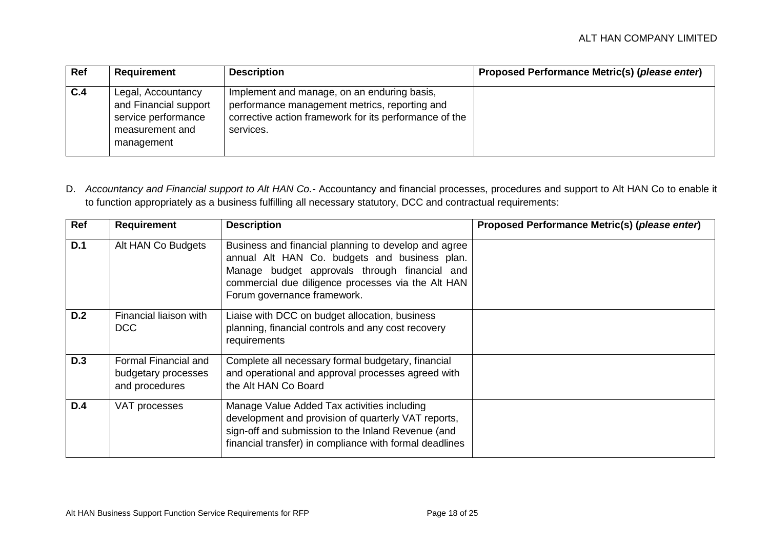| Ref | Requirement                                                                                         | <b>Description</b>                                                                                                                                                  | Proposed Performance Metric(s) (please enter) |
|-----|-----------------------------------------------------------------------------------------------------|---------------------------------------------------------------------------------------------------------------------------------------------------------------------|-----------------------------------------------|
| C.4 | Legal, Accountancy<br>and Financial support<br>service performance<br>measurement and<br>management | Implement and manage, on an enduring basis,<br>performance management metrics, reporting and<br>corrective action framework for its performance of the<br>services. |                                               |

D. *Accountancy and Financial support to Alt HAN Co.-* Accountancy and financial processes, procedures and support to Alt HAN Co to enable it to function appropriately as a business fulfilling all necessary statutory, DCC and contractual requirements:

| Ref        | <b>Requirement</b>                                            | <b>Description</b>                                                                                                                                                                                                                          | Proposed Performance Metric(s) (please enter) |
|------------|---------------------------------------------------------------|---------------------------------------------------------------------------------------------------------------------------------------------------------------------------------------------------------------------------------------------|-----------------------------------------------|
| D.1        | Alt HAN Co Budgets                                            | Business and financial planning to develop and agree<br>annual Alt HAN Co. budgets and business plan.<br>Manage budget approvals through financial and<br>commercial due diligence processes via the Alt HAN<br>Forum governance framework. |                                               |
| D.2        | Financial liaison with<br><b>DCC</b>                          | Liaise with DCC on budget allocation, business<br>planning, financial controls and any cost recovery<br>requirements                                                                                                                        |                                               |
| <b>D.3</b> | Formal Financial and<br>budgetary processes<br>and procedures | Complete all necessary formal budgetary, financial<br>and operational and approval processes agreed with<br>the Alt HAN Co Board                                                                                                            |                                               |
| D.4        | VAT processes                                                 | Manage Value Added Tax activities including<br>development and provision of quarterly VAT reports,<br>sign-off and submission to the Inland Revenue (and<br>financial transfer) in compliance with formal deadlines                         |                                               |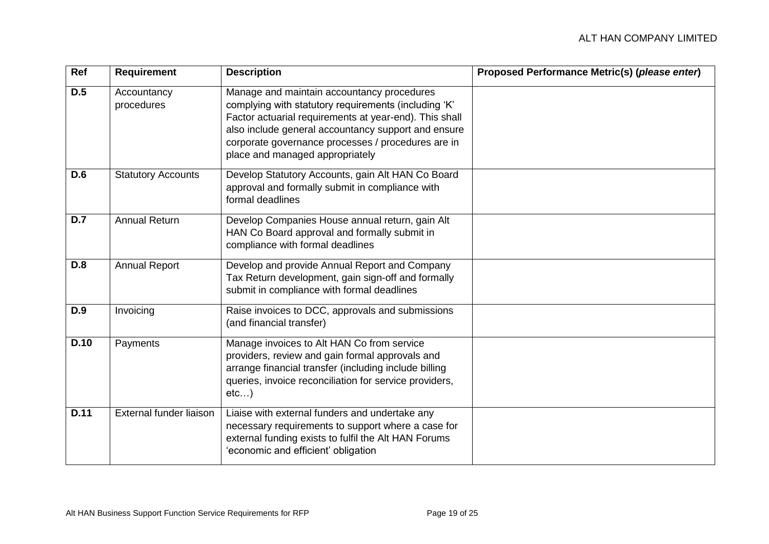| Ref         | <b>Requirement</b>        | <b>Description</b>                                                                                                                                                                                                                                                                                           | Proposed Performance Metric(s) (please enter) |
|-------------|---------------------------|--------------------------------------------------------------------------------------------------------------------------------------------------------------------------------------------------------------------------------------------------------------------------------------------------------------|-----------------------------------------------|
| D.5         | Accountancy<br>procedures | Manage and maintain accountancy procedures<br>complying with statutory requirements (including 'K'<br>Factor actuarial requirements at year-end). This shall<br>also include general accountancy support and ensure<br>corporate governance processes / procedures are in<br>place and managed appropriately |                                               |
| <b>D.6</b>  | <b>Statutory Accounts</b> | Develop Statutory Accounts, gain Alt HAN Co Board<br>approval and formally submit in compliance with<br>formal deadlines                                                                                                                                                                                     |                                               |
| D.7         | <b>Annual Return</b>      | Develop Companies House annual return, gain Alt<br>HAN Co Board approval and formally submit in<br>compliance with formal deadlines                                                                                                                                                                          |                                               |
| <b>D.8</b>  | <b>Annual Report</b>      | Develop and provide Annual Report and Company<br>Tax Return development, gain sign-off and formally<br>submit in compliance with formal deadlines                                                                                                                                                            |                                               |
| <b>D.9</b>  | Invoicing                 | Raise invoices to DCC, approvals and submissions<br>(and financial transfer)                                                                                                                                                                                                                                 |                                               |
| <b>D.10</b> | Payments                  | Manage invoices to Alt HAN Co from service<br>providers, review and gain formal approvals and<br>arrange financial transfer (including include billing<br>queries, invoice reconciliation for service providers,<br>etc)                                                                                     |                                               |
| D.11        | External funder liaison   | Liaise with external funders and undertake any<br>necessary requirements to support where a case for<br>external funding exists to fulfil the Alt HAN Forums<br>'economic and efficient' obligation                                                                                                          |                                               |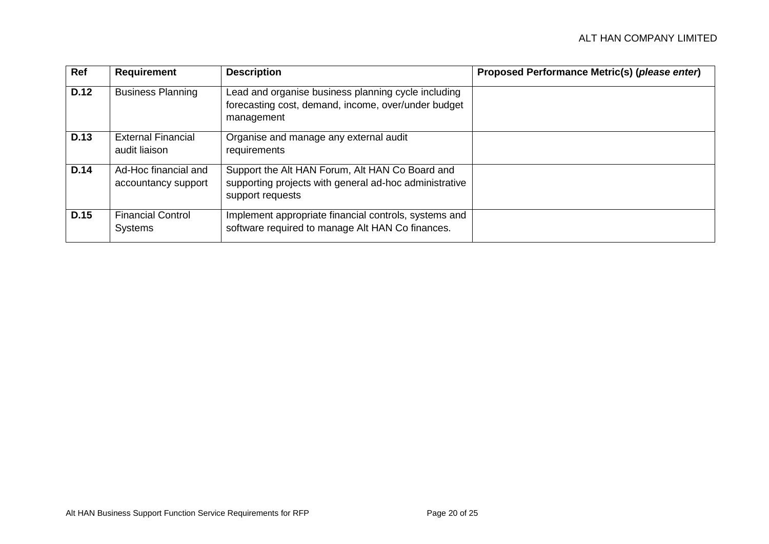| Ref         | <b>Requirement</b>                          | <b>Description</b>                                                                                                            | Proposed Performance Metric(s) (please enter) |
|-------------|---------------------------------------------|-------------------------------------------------------------------------------------------------------------------------------|-----------------------------------------------|
| <b>D.12</b> | <b>Business Planning</b>                    | Lead and organise business planning cycle including<br>forecasting cost, demand, income, over/under budget<br>management      |                                               |
| D.13        | <b>External Financial</b><br>audit liaison  | Organise and manage any external audit<br>requirements                                                                        |                                               |
| D.14        | Ad-Hoc financial and<br>accountancy support | Support the Alt HAN Forum, Alt HAN Co Board and<br>supporting projects with general ad-hoc administrative<br>support requests |                                               |
| D.15        | <b>Financial Control</b><br><b>Systems</b>  | Implement appropriate financial controls, systems and<br>software required to manage Alt HAN Co finances.                     |                                               |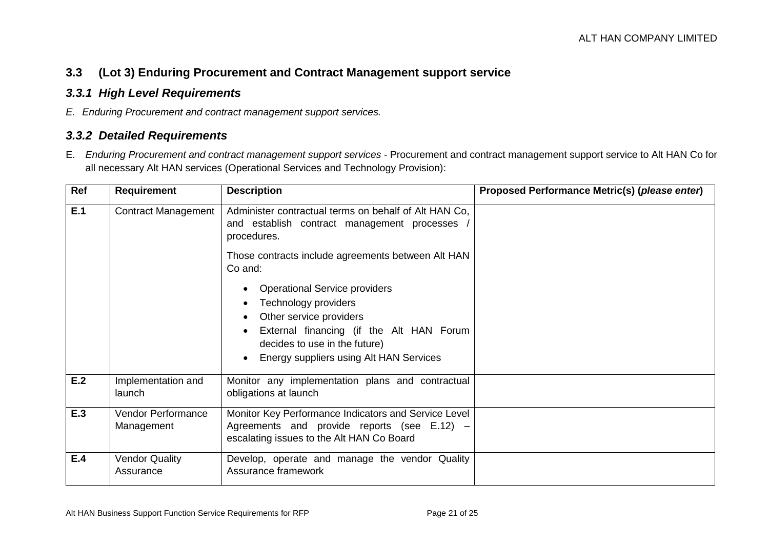#### **3.3 (Lot 3) Enduring Procurement and Contract Management support service**

#### *3.3.1 High Level Requirements*

*E. Enduring Procurement and contract management support services.*

#### *3.3.2 Detailed Requirements*

E. *Enduring Procurement and contract management support services -* Procurement and contract management support service to Alt HAN Co for all necessary Alt HAN services (Operational Services and Technology Provision):

<span id="page-20-2"></span><span id="page-20-1"></span><span id="page-20-0"></span>

| Ref | <b>Requirement</b>                      | <b>Description</b>                                                                                                                                                                                              | Proposed Performance Metric(s) (please enter) |
|-----|-----------------------------------------|-----------------------------------------------------------------------------------------------------------------------------------------------------------------------------------------------------------------|-----------------------------------------------|
| E.1 | <b>Contract Management</b>              | Administer contractual terms on behalf of Alt HAN Co,<br>and establish contract management processes<br>procedures.                                                                                             |                                               |
|     |                                         | Those contracts include agreements between Alt HAN<br>Co and:                                                                                                                                                   |                                               |
|     |                                         | <b>Operational Service providers</b><br>Technology providers<br>Other service providers<br>External financing (if the Alt HAN Forum<br>decides to use in the future)<br>Energy suppliers using Alt HAN Services |                                               |
| E.2 | Implementation and<br>launch            | Monitor any implementation plans and contractual<br>obligations at launch                                                                                                                                       |                                               |
| E.3 | <b>Vendor Performance</b><br>Management | Monitor Key Performance Indicators and Service Level<br>Agreements and provide reports (see E.12) -<br>escalating issues to the Alt HAN Co Board                                                                |                                               |
| E.4 | <b>Vendor Quality</b><br>Assurance      | Develop, operate and manage the vendor Quality<br>Assurance framework                                                                                                                                           |                                               |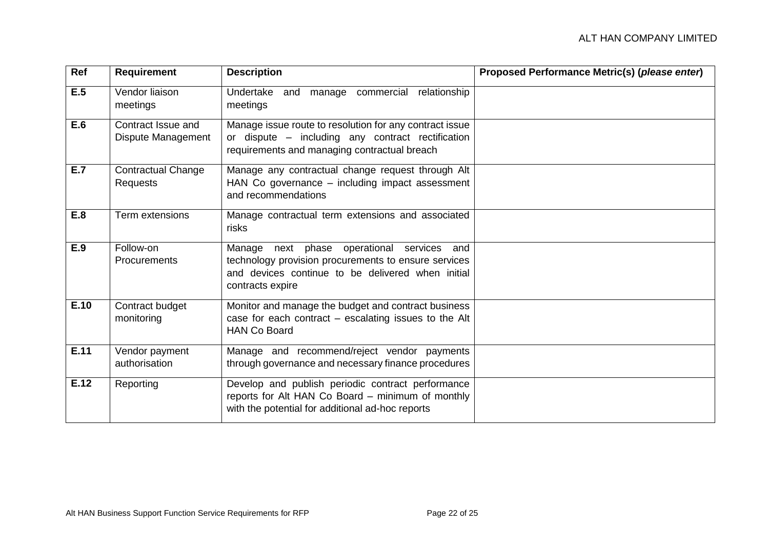| Ref  | <b>Requirement</b>                       | <b>Description</b>                                                                                                                                                          | Proposed Performance Metric(s) (please enter) |
|------|------------------------------------------|-----------------------------------------------------------------------------------------------------------------------------------------------------------------------------|-----------------------------------------------|
| E.5  | Vendor liaison<br>meetings               | Undertake and<br>manage commercial<br>relationship<br>meetings                                                                                                              |                                               |
| E.6  | Contract Issue and<br>Dispute Management | Manage issue route to resolution for any contract issue<br>or dispute - including any contract rectification<br>requirements and managing contractual breach                |                                               |
| E.7  | <b>Contractual Change</b><br>Requests    | Manage any contractual change request through Alt<br>HAN Co governance - including impact assessment<br>and recommendations                                                 |                                               |
| E.8  | Term extensions                          | Manage contractual term extensions and associated<br>risks                                                                                                                  |                                               |
| E.9  | Follow-on<br><b>Procurements</b>         | Manage next phase operational services and<br>technology provision procurements to ensure services<br>and devices continue to be delivered when initial<br>contracts expire |                                               |
| E.10 | Contract budget<br>monitoring            | Monitor and manage the budget and contract business<br>case for each contract - escalating issues to the Alt<br><b>HAN Co Board</b>                                         |                                               |
| E.11 | Vendor payment<br>authorisation          | Manage and recommend/reject vendor payments<br>through governance and necessary finance procedures                                                                          |                                               |
| E.12 | Reporting                                | Develop and publish periodic contract performance<br>reports for Alt HAN Co Board - minimum of monthly<br>with the potential for additional ad-hoc reports                  |                                               |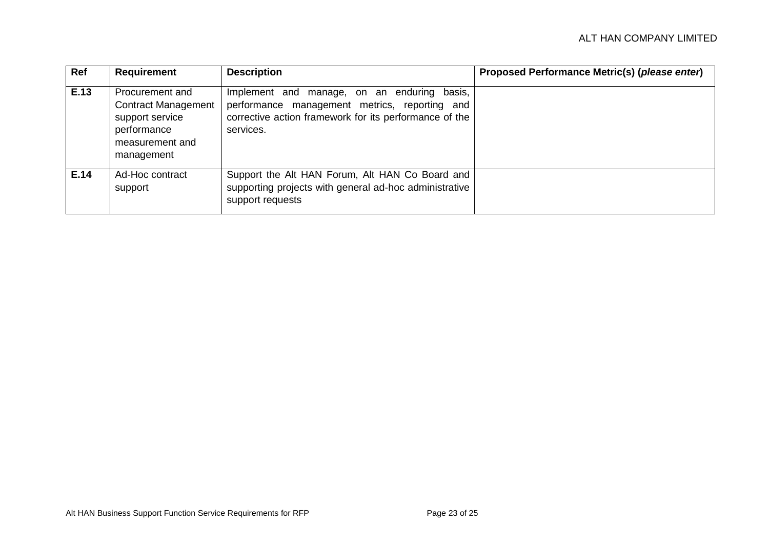<span id="page-22-0"></span>

| Ref  | <b>Requirement</b>                                                                                               | <b>Description</b>                                                                                                                                                  | Proposed Performance Metric(s) (please enter) |
|------|------------------------------------------------------------------------------------------------------------------|---------------------------------------------------------------------------------------------------------------------------------------------------------------------|-----------------------------------------------|
| E.13 | Procurement and<br><b>Contract Management</b><br>support service<br>performance<br>measurement and<br>management | Implement and manage, on an enduring basis,<br>performance management metrics, reporting and<br>corrective action framework for its performance of the<br>services. |                                               |
| E.14 | Ad-Hoc contract<br>support                                                                                       | Support the Alt HAN Forum, Alt HAN Co Board and<br>supporting projects with general ad-hoc administrative<br>support requests                                       |                                               |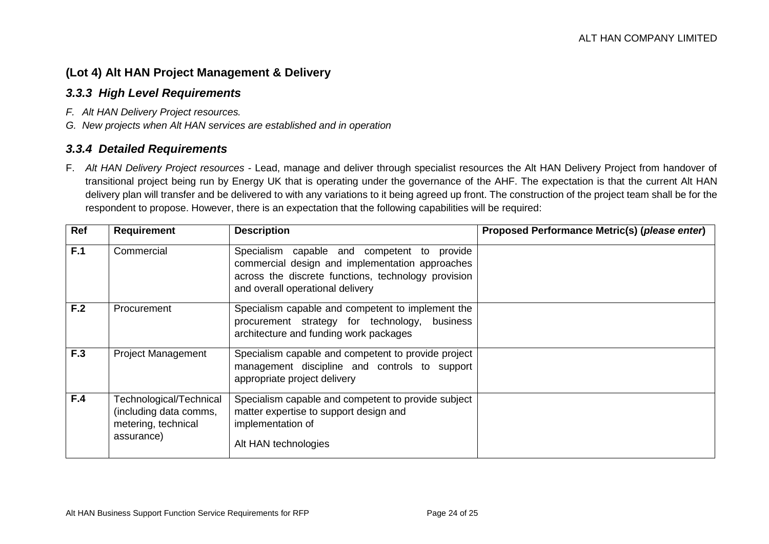#### **(Lot 4) Alt HAN Project Management & Delivery**

#### *3.3.3 High Level Requirements*

- *F. Alt HAN Delivery Project resources.*
- *G. New projects when Alt HAN services are established and in operation*

#### *3.3.4 Detailed Requirements*

F. *Alt HAN Delivery Project resources -* Lead, manage and deliver through specialist resources the Alt HAN Delivery Project from handover of transitional project being run by Energy UK that is operating under the governance of the AHF. The expectation is that the current Alt HAN delivery plan will transfer and be delivered to with any variations to it being agreed up front. The construction of the project team shall be for the respondent to propose. However, there is an expectation that the following capabilities will be required:

<span id="page-23-1"></span><span id="page-23-0"></span>

| Ref | <b>Requirement</b>                                                                     | <b>Description</b>                                                                                                                                                                        | Proposed Performance Metric(s) (please enter) |
|-----|----------------------------------------------------------------------------------------|-------------------------------------------------------------------------------------------------------------------------------------------------------------------------------------------|-----------------------------------------------|
| F.1 | Commercial                                                                             | Specialism capable and competent to provide<br>commercial design and implementation approaches<br>across the discrete functions, technology provision<br>and overall operational delivery |                                               |
| F.2 | Procurement                                                                            | Specialism capable and competent to implement the<br>procurement strategy for technology, business<br>architecture and funding work packages                                              |                                               |
| F.3 | <b>Project Management</b>                                                              | Specialism capable and competent to provide project<br>management discipline and controls to support<br>appropriate project delivery                                                      |                                               |
| F.4 | Technological/Technical<br>(including data comms,<br>metering, technical<br>assurance) | Specialism capable and competent to provide subject<br>matter expertise to support design and<br>implementation of<br>Alt HAN technologies                                                |                                               |